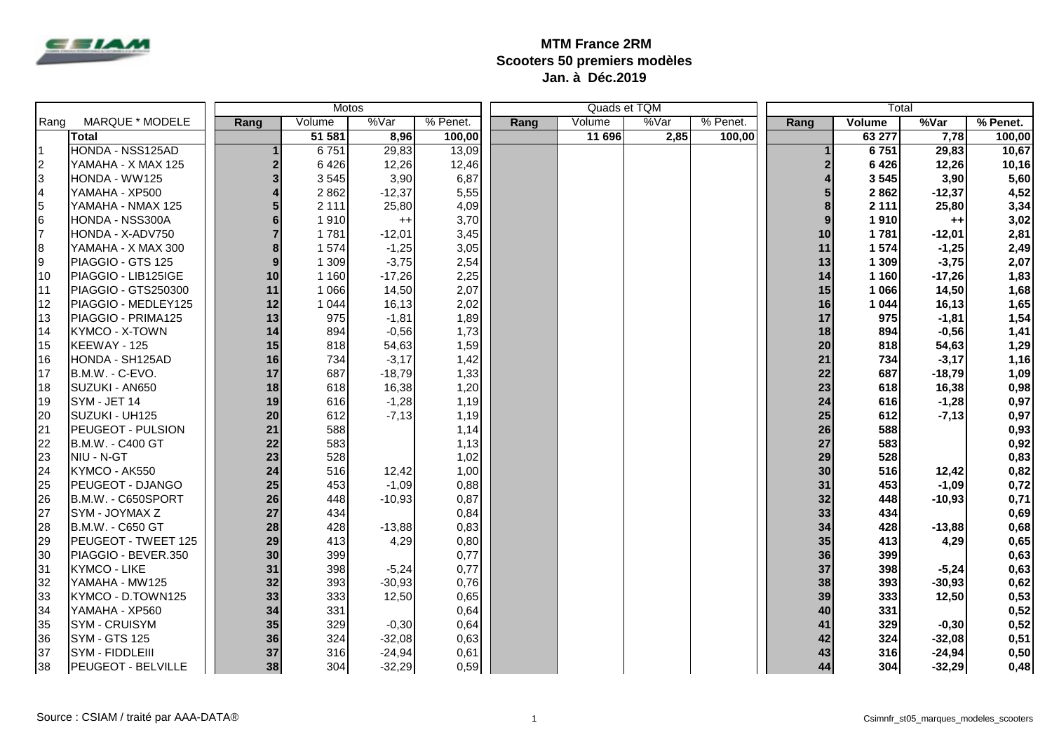

## **MTM France 2RM Scooters 50 premiers modèles Jan. à Déc.2019**

|                         |                           | <b>Motos</b>   |         |          |          |      |        | Quads et TQM |          | Total |         |          |          |
|-------------------------|---------------------------|----------------|---------|----------|----------|------|--------|--------------|----------|-------|---------|----------|----------|
| MARQUE * MODELE<br>Rang |                           | Rang           | Volume  | %Var     | % Penet. | Rang | Volume | %Var         | % Penet. | Rang  | Volume  | %Var     | % Penet. |
|                         | <b>Total</b>              |                | 51 581  | 8,96     | 100,00   |      | 11 696 | 2,85         | 100,00   |       | 63 277  | 7,78     | 100,00   |
| I1                      | HONDA - NSS125AD          |                | 6751    | 29,83    | 13,09    |      |        |              |          |       | 6751    | 29,83    | 10,67    |
| $\vert$ 2               | YAMAHA - X MAX 125        | $\overline{2}$ | 6426    | 12,26    | 12,46    |      |        |              |          |       | 6426    | 12,26    | 10,16    |
| 3                       | HONDA - WW125             | 3              | 3545    | 3,90     | 6,87     |      |        |              |          |       | 3545    | 3,90     | 5,60     |
| 4                       | YAMAHA - XP500            |                | 2862    | $-12,37$ | 5,55     |      |        |              |          |       | 2862    | $-12,37$ | 4,52     |
| 5                       | YAMAHA - NMAX 125         |                | 2 1 1 1 | 25,80    | 4,09     |      |        |              |          |       | 2 1 1 1 | 25,80    | 3,34     |
| 6                       | HONDA - NSS300A           |                | 1910    | $^{++}$  | 3,70     |      |        |              |          | 9     | 1910    | $^{++}$  | 3,02     |
| l7                      | HONDA - X-ADV750          |                | 1781    | $-12,01$ | 3,45     |      |        |              |          | 10    | 1781    | $-12,01$ | 2,81     |
| 8                       | YAMAHA - X MAX 300        | 8              | 1574    | $-1,25$  | 3,05     |      |        |              |          | 11    | 1574    | $-1,25$  | 2,49     |
| l9                      | PIAGGIO - GTS 125         | 9              | 1 3 0 9 | $-3,75$  | 2,54     |      |        |              |          | 13    | 1 309   | $-3,75$  | 2,07     |
| 10                      | PIAGGIO - LIB125IGE       | 10             | 1 1 6 0 | $-17,26$ | 2,25     |      |        |              |          | 14    | 1 160   | $-17,26$ | 1,83     |
| 111                     | PIAGGIO - GTS250300       | 11             | 1 0 6 6 | 14,50    | 2,07     |      |        |              |          | 15    | 1 0 6 6 | 14,50    | 1,68     |
| 12                      | PIAGGIO - MEDLEY125       | 12             | 1 0 4 4 | 16,13    | 2,02     |      |        |              |          | 16    | 1 0 4 4 | 16,13    | 1,65     |
| 13                      | PIAGGIO - PRIMA125        | 13             | 975     | $-1,81$  | 1,89     |      |        |              |          | 17    | 975     | $-1,81$  | 1,54     |
| 14                      | KYMCO - X-TOWN            | 14             | 894     | $-0,56$  | 1,73     |      |        |              |          | 18    | 894     | $-0,56$  | 1,41     |
| 15                      | KEEWAY - 125              | 15             | 818     | 54,63    | 1,59     |      |        |              |          | 20    | 818     | 54,63    | 1,29     |
| 16                      | HONDA - SH125AD           | 16             | 734     | $-3,17$  | 1,42     |      |        |              |          | 21    | 734     | $-3,17$  | 1,16     |
| 17                      | B.M.W. - C-EVO.           | 17             | 687     | $-18,79$ | 1,33     |      |        |              |          | 22    | 687     | $-18,79$ | 1,09     |
| 18                      | SUZUKI - AN650            | 18             | 618     | 16,38    | 1,20     |      |        |              |          | 23    | 618     | 16,38    | 0,98     |
| 19                      | SYM - JET 14              | 19             | 616     | $-1,28$  | 1,19     |      |        |              |          | 24    | 616     | $-1,28$  | 0,97     |
| 20                      | SUZUKI - UH125            | 20             | 612     | $-7,13$  | 1,19     |      |        |              |          | 25    | 612     | $-7,13$  | 0,97     |
| 21                      | PEUGEOT - PULSION         | 21             | 588     |          | 1,14     |      |        |              |          | 26    | 588     |          | 0,93     |
| 22                      | B.M.W. - C400 GT          | 22             | 583     |          | 1,13     |      |        |              |          | 27    | 583     |          | 0,92     |
| 23                      | NIU - N-GT                | 23             | 528     |          | 1,02     |      |        |              |          | 29    | 528     |          | 0,83     |
| 24                      | KYMCO - AK550             | 24             | 516     | 12,42    | 1,00     |      |        |              |          | 30    | 516     | 12,42    | 0,82     |
| 25                      | PEUGEOT - DJANGO          | 25             | 453     | $-1,09$  | 0,88     |      |        |              |          | 31    | 453     | $-1,09$  | 0,72     |
| <b>26</b>               | B.M.W. - C650SPORT        | 26             | 448     | $-10,93$ | 0,87     |      |        |              |          | 32    | 448     | $-10,93$ | 0,71     |
| 27                      | SYM - JOYMAX Z            | 27             | 434     |          | 0,84     |      |        |              |          | 33    | 434     |          | 0,69     |
| 28                      | B.M.W. - C650 GT          | 28             | 428     | $-13,88$ | 0,83     |      |        |              |          | 34    | 428     | $-13,88$ | 0,68     |
| 29                      | PEUGEOT - TWEET 125       | 29             | 413     | 4,29     | 0,80     |      |        |              |          | 35    | 413     | 4,29     | 0,65     |
| 30                      | PIAGGIO - BEVER.350       | 30             | 399     |          | 0,77     |      |        |              |          | 36    | 399     |          | 0,63     |
| 31                      | <b>KYMCO - LIKE</b>       | 31             | 398     | $-5,24$  | 0,77     |      |        |              |          | 37    | 398     | $-5,24$  | 0,63     |
| 32                      | YAMAHA - MW125            | 32             | 393     | $-30,93$ | 0,76     |      |        |              |          | 38    | 393     | $-30,93$ | 0,62     |
| 33                      | KYMCO - D.TOWN125         | 33             | 333     | 12,50    | 0,65     |      |        |              |          | 39    | 333     | 12,50    | 0,53     |
| 34                      | YAMAHA - XP560            | 34             | 331     |          | 0,64     |      |        |              |          | 40    | 331     |          | 0,52     |
| 35                      | SYM - CRUISYM             | 35             | 329     | $-0,30$  | 0,64     |      |        |              |          | 41    | 329     | $-0,30$  | 0,52     |
| 36                      | <b>SYM - GTS 125</b>      | 36             | 324     | $-32,08$ | 0,63     |      |        |              |          | 42    | 324     | $-32,08$ | 0,51     |
| 37                      | SYM - FIDDLEIII           | 37             | 316     | $-24,94$ | 0,61     |      |        |              |          | 43    | 316     | $-24,94$ | 0,50     |
| 38                      | <b>PEUGEOT - BELVILLE</b> | 38             | 304     | $-32,29$ | 0,59     |      |        |              |          | 44    | 304     | $-32,29$ | 0,48     |